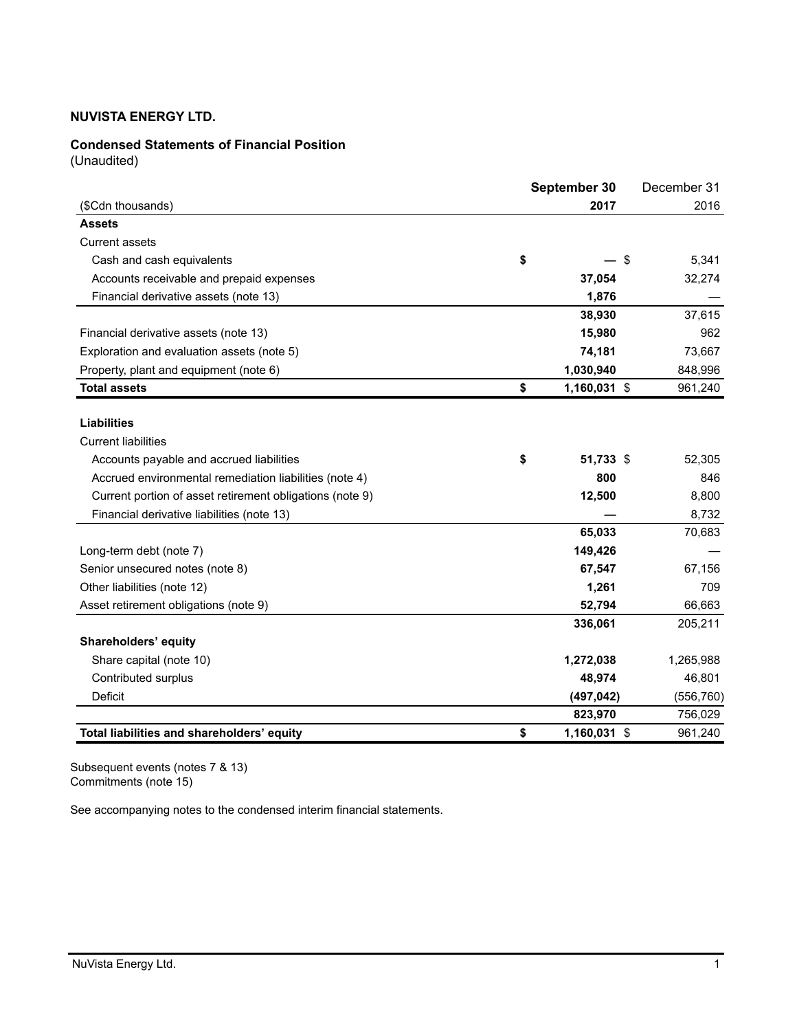## **Condensed Statements of Financial Position**

(Unaudited)

|                                                          | September 30 |              | December 31 |
|----------------------------------------------------------|--------------|--------------|-------------|
| (\$Cdn thousands)                                        |              | 2017         | 2016        |
| <b>Assets</b>                                            |              |              |             |
| <b>Current assets</b>                                    |              |              |             |
| Cash and cash equivalents                                | \$           | \$           | 5,341       |
| Accounts receivable and prepaid expenses                 |              | 37,054       | 32,274      |
| Financial derivative assets (note 13)                    |              | 1,876        |             |
|                                                          |              | 38,930       | 37,615      |
| Financial derivative assets (note 13)                    |              | 15,980       | 962         |
| Exploration and evaluation assets (note 5)               |              | 74,181       | 73,667      |
| Property, plant and equipment (note 6)                   |              | 1,030,940    | 848,996     |
| <b>Total assets</b>                                      | \$           | 1,160,031 \$ | 961,240     |
| <b>Liabilities</b><br><b>Current liabilities</b>         |              |              |             |
| Accounts payable and accrued liabilities                 | \$           | 51,733 \$    | 52,305      |
| Accrued environmental remediation liabilities (note 4)   |              | 800          | 846         |
| Current portion of asset retirement obligations (note 9) |              | 12,500       | 8,800       |
| Financial derivative liabilities (note 13)               |              |              | 8,732       |
|                                                          |              | 65,033       | 70,683      |
| Long-term debt (note 7)                                  |              | 149,426      |             |
| Senior unsecured notes (note 8)                          |              | 67,547       | 67,156      |
| Other liabilities (note 12)                              |              | 1,261        | 709         |
| Asset retirement obligations (note 9)                    |              | 52,794       | 66,663      |
| Shareholders' equity                                     |              | 336,061      | 205,211     |
| Share capital (note 10)                                  |              | 1,272,038    | 1,265,988   |
| Contributed surplus                                      |              | 48,974       | 46,801      |
| Deficit                                                  |              | (497, 042)   | (556, 760)  |
|                                                          |              | 823,970      | 756,029     |
| Total liabilities and shareholders' equity               | \$           | 1,160,031 \$ | 961,240     |

Subsequent events (notes 7 & 13) Commitments (note 15)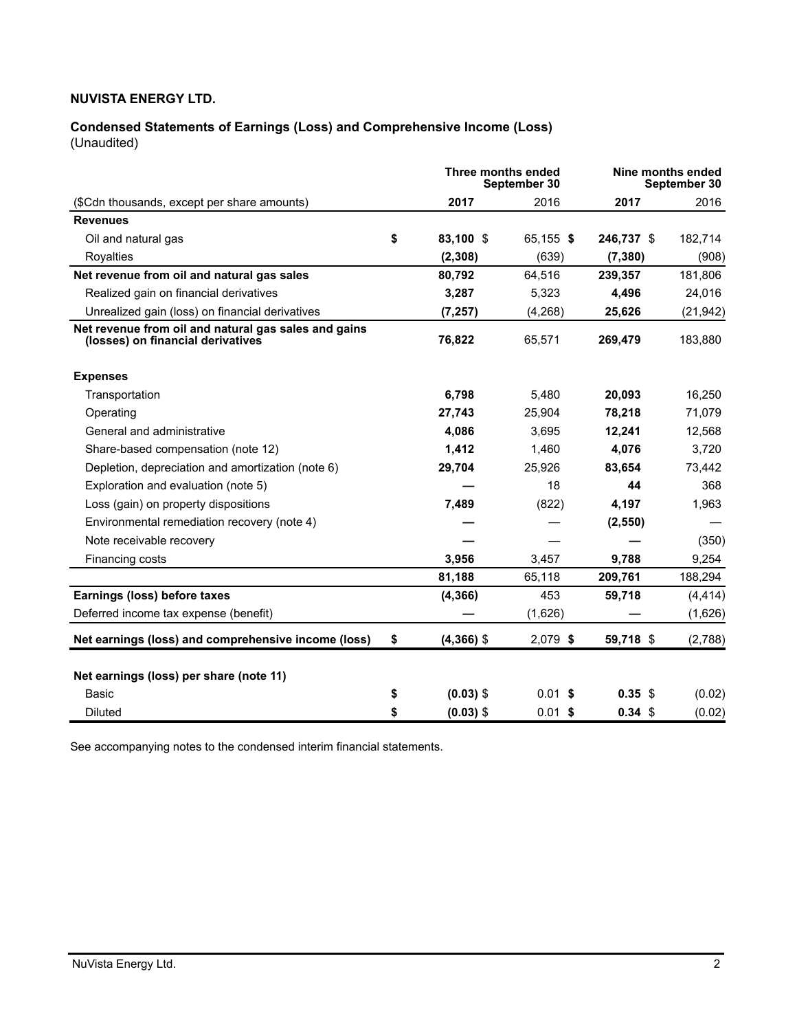#### **Condensed Statements of Earnings (Loss) and Comprehensive Income (Loss)** (Unaudited)

|                                                                                           |    | Three months ended | September 30 |                   | Nine months ended<br>September 30 |
|-------------------------------------------------------------------------------------------|----|--------------------|--------------|-------------------|-----------------------------------|
| (\$Cdn thousands, except per share amounts)                                               |    | 2017               | 2016         | 2017              | 2016                              |
| <b>Revenues</b>                                                                           |    |                    |              |                   |                                   |
| Oil and natural gas                                                                       | \$ | 83,100 \$          | 65,155 \$    | 246,737 \$        | 182,714                           |
| Royalties                                                                                 |    | (2, 308)           | (639)        | (7, 380)          | (908)                             |
| Net revenue from oil and natural gas sales                                                |    | 80,792             | 64,516       | 239,357           | 181,806                           |
| Realized gain on financial derivatives                                                    |    | 3,287              | 5,323        | 4,496             | 24,016                            |
| Unrealized gain (loss) on financial derivatives                                           |    | (7, 257)           | (4,268)      | 25,626            | (21, 942)                         |
| Net revenue from oil and natural gas sales and gains<br>(losses) on financial derivatives |    | 76,822             | 65,571       | 269,479           | 183,880                           |
| <b>Expenses</b>                                                                           |    |                    |              |                   |                                   |
| Transportation                                                                            |    | 6,798              | 5,480        | 20,093            | 16,250                            |
| Operating                                                                                 |    | 27,743             | 25,904       | 78,218            | 71,079                            |
| General and administrative                                                                |    | 4,086              | 3,695        | 12,241            | 12,568                            |
| Share-based compensation (note 12)                                                        |    | 1,412              | 1,460        | 4,076             | 3,720                             |
| Depletion, depreciation and amortization (note 6)                                         |    | 29,704             | 25,926       | 83,654            | 73,442                            |
| Exploration and evaluation (note 5)                                                       |    |                    | 18           | 44                | 368                               |
| Loss (gain) on property dispositions                                                      |    | 7,489              | (822)        | 4,197             | 1,963                             |
| Environmental remediation recovery (note 4)                                               |    |                    |              | (2, 550)          |                                   |
| Note receivable recovery                                                                  |    |                    |              |                   | (350)                             |
| Financing costs                                                                           |    | 3,956              | 3,457        | 9,788             | 9,254                             |
|                                                                                           |    | 81,188             | 65,118       | 209,761           | 188,294                           |
| Earnings (loss) before taxes                                                              |    | (4, 366)           | 453          | 59,718            | (4, 414)                          |
| Deferred income tax expense (benefit)                                                     |    |                    | (1,626)      |                   | (1,626)                           |
| Net earnings (loss) and comprehensive income (loss)                                       | \$ | $(4,366)$ \$       | $2,079$ \$   | 59,718 \$         | (2,788)                           |
| Net earnings (loss) per share (note 11)                                                   |    |                    |              |                   |                                   |
| Basic                                                                                     | \$ | $(0.03)$ \$        | $0.01$ \$    | $0.35$ \$         | (0.02)                            |
| Diluted                                                                                   | \$ | $(0.03)$ \$        | $0.01$ \$    | 0.34 <sup>5</sup> | (0.02)                            |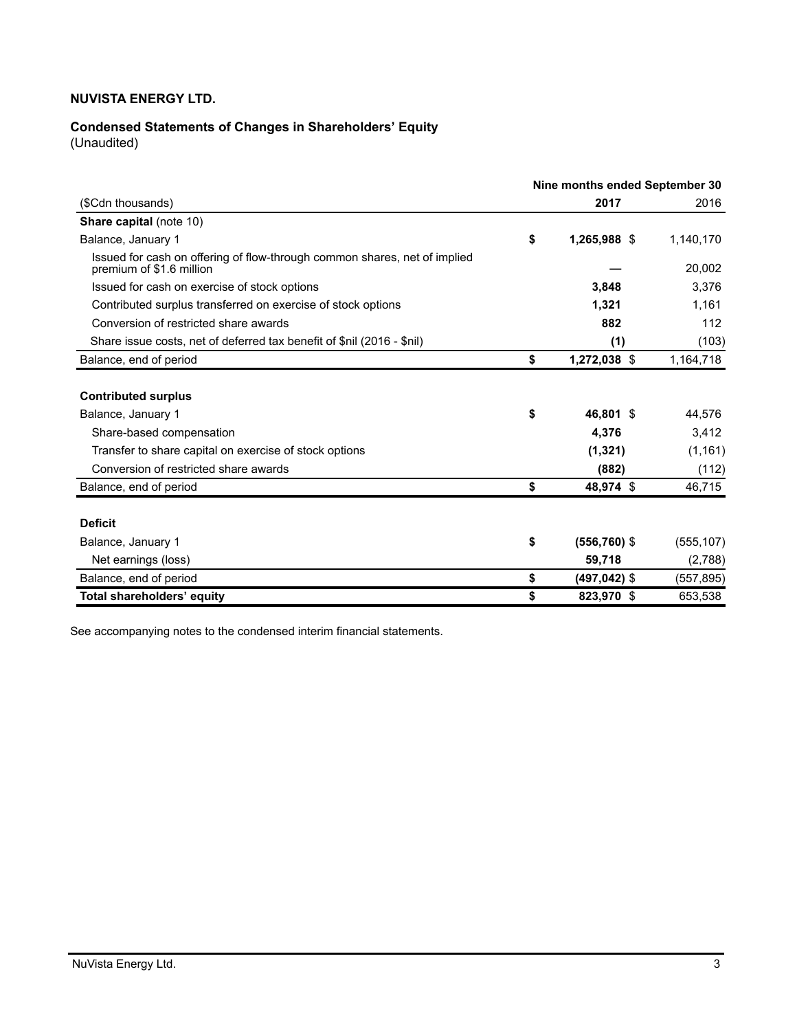# **Condensed Statements of Changes in Shareholders' Equity**

(Unaudited)

|                                                                                                       | Nine months ended September 30 |                   |  |                   |  |
|-------------------------------------------------------------------------------------------------------|--------------------------------|-------------------|--|-------------------|--|
| (\$Cdn thousands)                                                                                     |                                | 2017              |  | 2016              |  |
| <b>Share capital (note 10)</b>                                                                        |                                |                   |  |                   |  |
| Balance, January 1                                                                                    | \$                             | 1,265,988 \$      |  | 1,140,170         |  |
| Issued for cash on offering of flow-through common shares, net of implied<br>premium of \$1.6 million |                                |                   |  | 20,002            |  |
| Issued for cash on exercise of stock options                                                          |                                | 3,848             |  | 3,376             |  |
| Contributed surplus transferred on exercise of stock options                                          |                                | 1,321             |  | 1,161             |  |
| Conversion of restricted share awards                                                                 |                                | 882               |  | 112               |  |
| Share issue costs, net of deferred tax benefit of \$nil (2016 - \$nil)                                |                                | (1)               |  | (103)             |  |
| Balance, end of period                                                                                | \$                             | 1,272,038 \$      |  | 1,164,718         |  |
| <b>Contributed surplus</b><br>Balance, January 1                                                      | \$                             | 46,801 \$         |  | 44,576            |  |
| Share-based compensation                                                                              |                                | 4,376             |  | 3,412             |  |
| Transfer to share capital on exercise of stock options<br>Conversion of restricted share awards       |                                | (1, 321)<br>(882) |  | (1, 161)<br>(112) |  |
| Balance, end of period                                                                                | \$                             | 48,974 \$         |  | 46,715            |  |
|                                                                                                       |                                |                   |  |                   |  |
| <b>Deficit</b>                                                                                        |                                |                   |  |                   |  |
| Balance, January 1                                                                                    | \$                             | $(556, 760)$ \$   |  | (555, 107)        |  |
| Net earnings (loss)                                                                                   |                                | 59,718            |  | (2,788)           |  |
| Balance, end of period                                                                                | \$                             | $(497, 042)$ \$   |  | (557, 895)        |  |
| Total shareholders' equity                                                                            | \$                             | 823,970 \$        |  | 653,538           |  |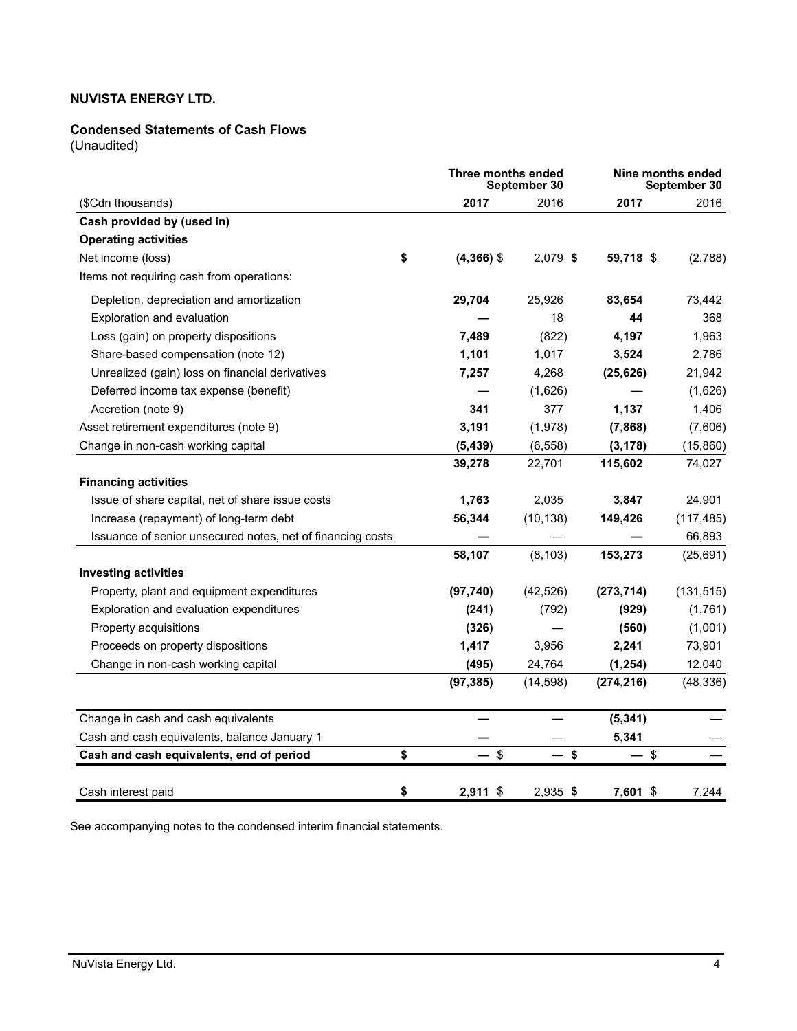## **Condensed Statements of Cash Flows**

(Unaudited)

|                                                            | Three months ended<br>September 30 |            |            | Nine months ended<br>September 30 |
|------------------------------------------------------------|------------------------------------|------------|------------|-----------------------------------|
| (\$Cdn thousands)                                          | 2017                               | 2016       | 2017       | 2016                              |
| Cash provided by (used in)                                 |                                    |            |            |                                   |
| <b>Operating activities</b>                                |                                    |            |            |                                   |
| Net income (loss)                                          | \$<br>$(4,366)$ \$                 | 2,079 \$   | 59,718 \$  | (2,788)                           |
| Items not requiring cash from operations:                  |                                    |            |            |                                   |
| Depletion, depreciation and amortization                   | 29,704                             | 25,926     | 83,654     | 73,442                            |
| Exploration and evaluation                                 |                                    | 18         | 44         | 368                               |
| Loss (gain) on property dispositions                       | 7,489                              | (822)      | 4,197      | 1,963                             |
| Share-based compensation (note 12)                         | 1,101                              | 1,017      | 3,524      | 2,786                             |
| Unrealized (gain) loss on financial derivatives            | 7,257                              | 4,268      | (25, 626)  | 21,942                            |
| Deferred income tax expense (benefit)                      |                                    | (1,626)    |            | (1,626)                           |
| Accretion (note 9)                                         | 341                                | 377        | 1,137      | 1,406                             |
| Asset retirement expenditures (note 9)                     | 3,191                              | (1,978)    | (7,868)    | (7,606)                           |
| Change in non-cash working capital                         | (5, 439)                           | (6, 558)   | (3, 178)   | (15,860)                          |
|                                                            | 39,278                             | 22,701     | 115,602    | 74,027                            |
| <b>Financing activities</b>                                |                                    |            |            |                                   |
| Issue of share capital, net of share issue costs           | 1,763                              | 2,035      | 3,847      | 24,901                            |
| Increase (repayment) of long-term debt                     | 56,344                             | (10, 138)  | 149,426    | (117, 485)                        |
| Issuance of senior unsecured notes, net of financing costs |                                    |            |            | 66,893                            |
|                                                            | 58,107                             | (8, 103)   | 153,273    | (25, 691)                         |
| <b>Investing activities</b>                                |                                    |            |            |                                   |
| Property, plant and equipment expenditures                 | (97, 740)                          | (42, 526)  | (273, 714) | (131, 515)                        |
| Exploration and evaluation expenditures                    | (241)                              | (792)      | (929)      | (1,761)                           |
| Property acquisitions                                      | (326)                              |            | (560)      | (1,001)                           |
| Proceeds on property dispositions                          | 1,417                              | 3,956      | 2,241      | 73,901                            |
| Change in non-cash working capital                         | (495)                              | 24,764     | (1, 254)   | 12,040                            |
|                                                            | (97, 385)                          | (14, 598)  | (274, 216) | (48, 336)                         |
| Change in cash and cash equivalents                        |                                    |            | (5, 341)   |                                   |
| Cash and cash equivalents, balance January 1               |                                    |            | 5,341      |                                   |
| Cash and cash equivalents, end of period                   | \$<br>$-$ \$                       | $-$ \$     | $-$ \$     |                                   |
| Cash interest paid                                         | \$<br>$2,911$ \$                   | $2,935$ \$ | 7,601 \$   | 7,244                             |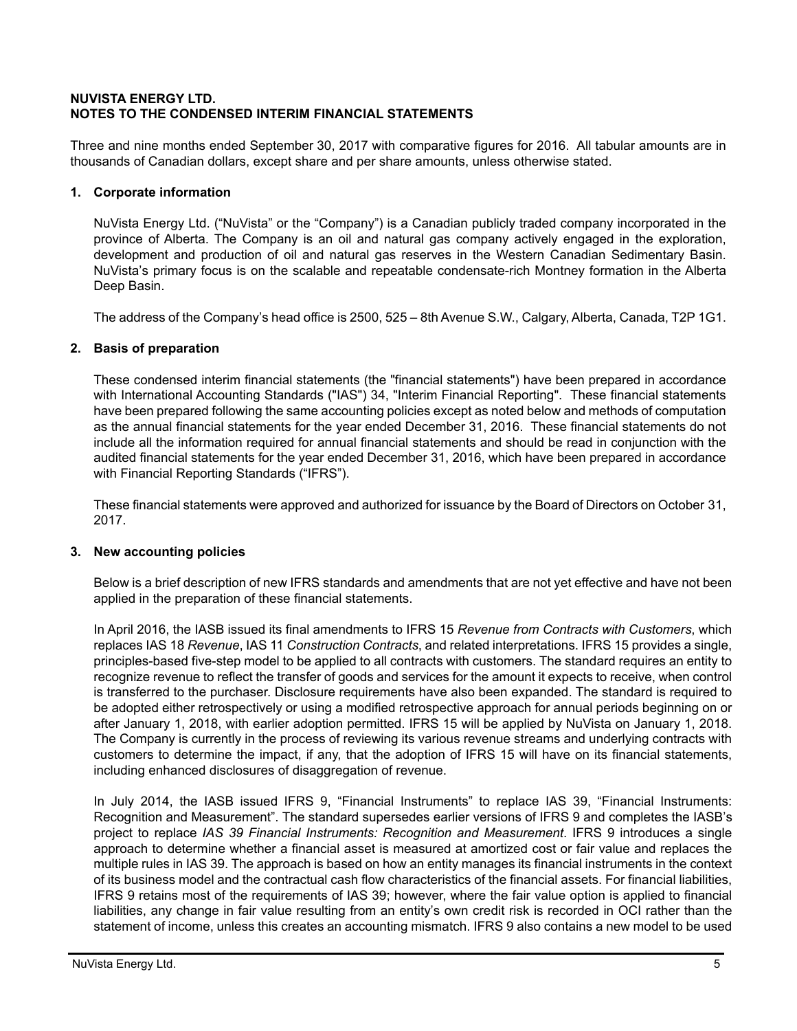### **NUVISTA ENERGY LTD. NOTES TO THE CONDENSED INTERIM FINANCIAL STATEMENTS**

Three and nine months ended September 30, 2017 with comparative figures for 2016. All tabular amounts are in thousands of Canadian dollars, except share and per share amounts, unless otherwise stated.

## **1. Corporate information**

NuVista Energy Ltd. ("NuVista" or the "Company") is a Canadian publicly traded company incorporated in the province of Alberta. The Company is an oil and natural gas company actively engaged in the exploration, development and production of oil and natural gas reserves in the Western Canadian Sedimentary Basin. NuVista's primary focus is on the scalable and repeatable condensate-rich Montney formation in the Alberta Deep Basin.

The address of the Company's head office is 2500, 525 – 8th Avenue S.W., Calgary, Alberta, Canada, T2P 1G1.

## **2. Basis of preparation**

These condensed interim financial statements (the "financial statements") have been prepared in accordance with International Accounting Standards ("IAS") 34, "Interim Financial Reporting". These financial statements have been prepared following the same accounting policies except as noted below and methods of computation as the annual financial statements for the year ended December 31, 2016. These financial statements do not include all the information required for annual financial statements and should be read in conjunction with the audited financial statements for the year ended December 31, 2016, which have been prepared in accordance with Financial Reporting Standards ("IFRS").

These financial statements were approved and authorized for issuance by the Board of Directors on October 31, 2017.

### **3. New accounting policies**

Below is a brief description of new IFRS standards and amendments that are not yet effective and have not been applied in the preparation of these financial statements.

In April 2016, the IASB issued its final amendments to IFRS 15 *Revenue from Contracts with Customers*, which replaces IAS 18 *Revenue*, IAS 11 *Construction Contracts*, and related interpretations. IFRS 15 provides a single, principles-based five-step model to be applied to all contracts with customers. The standard requires an entity to recognize revenue to reflect the transfer of goods and services for the amount it expects to receive, when control is transferred to the purchaser. Disclosure requirements have also been expanded. The standard is required to be adopted either retrospectively or using a modified retrospective approach for annual periods beginning on or after January 1, 2018, with earlier adoption permitted. IFRS 15 will be applied by NuVista on January 1, 2018. The Company is currently in the process of reviewing its various revenue streams and underlying contracts with customers to determine the impact, if any, that the adoption of IFRS 15 will have on its financial statements, including enhanced disclosures of disaggregation of revenue.

In July 2014, the IASB issued IFRS 9, "Financial Instruments" to replace IAS 39, "Financial Instruments: Recognition and Measurement". The standard supersedes earlier versions of IFRS 9 and completes the IASB's project to replace *IAS 39 Financial Instruments: Recognition and Measurement*. IFRS 9 introduces a single approach to determine whether a financial asset is measured at amortized cost or fair value and replaces the multiple rules in IAS 39. The approach is based on how an entity manages its financial instruments in the context of its business model and the contractual cash flow characteristics of the financial assets. For financial liabilities, IFRS 9 retains most of the requirements of IAS 39; however, where the fair value option is applied to financial liabilities, any change in fair value resulting from an entity's own credit risk is recorded in OCI rather than the statement of income, unless this creates an accounting mismatch. IFRS 9 also contains a new model to be used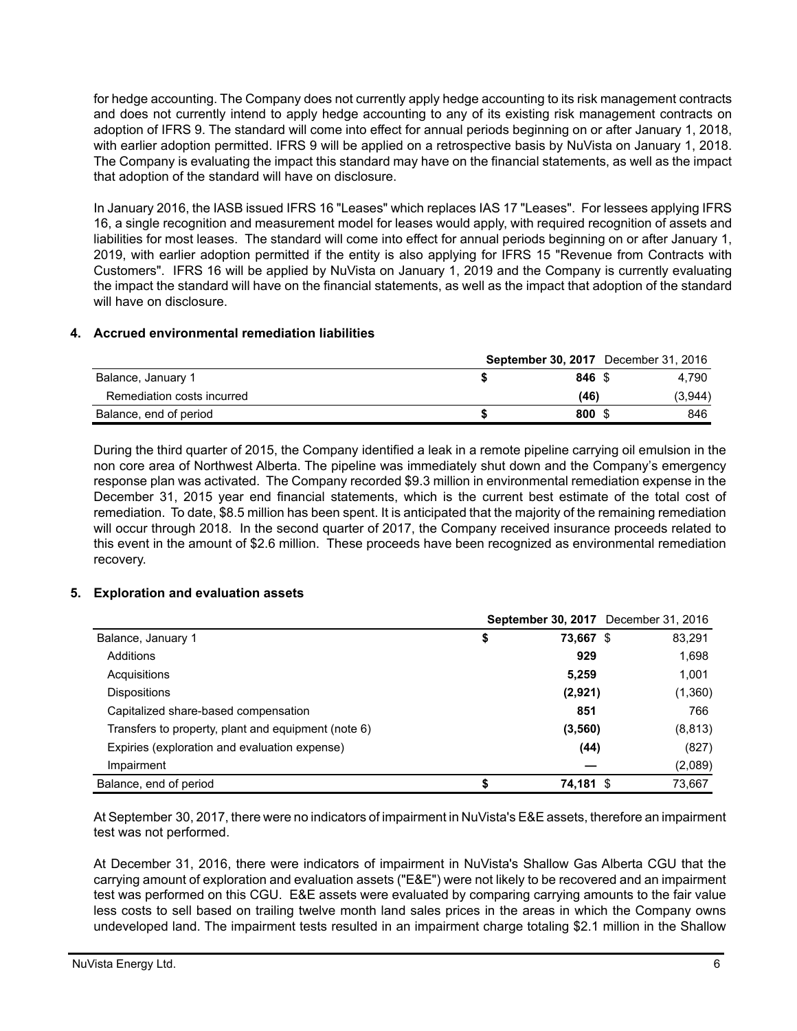for hedge accounting. The Company does not currently apply hedge accounting to its risk management contracts and does not currently intend to apply hedge accounting to any of its existing risk management contracts on adoption of IFRS 9. The standard will come into effect for annual periods beginning on or after January 1, 2018, with earlier adoption permitted. IFRS 9 will be applied on a retrospective basis by NuVista on January 1, 2018. The Company is evaluating the impact this standard may have on the financial statements, as well as the impact that adoption of the standard will have on disclosure.

In January 2016, the IASB issued IFRS 16 "Leases" which replaces IAS 17 "Leases". For lessees applying IFRS 16, a single recognition and measurement model for leases would apply, with required recognition of assets and liabilities for most leases. The standard will come into effect for annual periods beginning on or after January 1, 2019, with earlier adoption permitted if the entity is also applying for IFRS 15 "Revenue from Contracts with Customers". IFRS 16 will be applied by NuVista on January 1, 2019 and the Company is currently evaluating the impact the standard will have on the financial statements, as well as the impact that adoption of the standard will have on disclosure.

## **4. Accrued environmental remediation liabilities**

|                            |                  | <b>September 30, 2017</b> December 31, 2016 |
|----------------------------|------------------|---------------------------------------------|
| Balance, January 1         | $846 \text{ } $$ | 4.790                                       |
| Remediation costs incurred | (46)             | (3,944)                                     |
| Balance, end of period     | 800 S            | 846                                         |

During the third quarter of 2015, the Company identified a leak in a remote pipeline carrying oil emulsion in the non core area of Northwest Alberta. The pipeline was immediately shut down and the Company's emergency response plan was activated. The Company recorded \$9.3 million in environmental remediation expense in the December 31, 2015 year end financial statements, which is the current best estimate of the total cost of remediation. To date, \$8.5 million has been spent. It is anticipated that the majority of the remaining remediation will occur through 2018. In the second quarter of 2017, the Company received insurance proceeds related to this event in the amount of \$2.6 million. These proceeds have been recognized as environmental remediation recovery.

### **5. Exploration and evaluation assets**

|                                                     |                 | <b>September 30, 2017</b> December 31, 2016 |          |
|-----------------------------------------------------|-----------------|---------------------------------------------|----------|
| Balance, January 1                                  | \$<br>73,667 \$ |                                             | 83,291   |
| Additions                                           | 929             |                                             | 1,698    |
| Acquisitions                                        | 5,259           |                                             | 1,001    |
| <b>Dispositions</b>                                 | (2,921)         |                                             | (1,360)  |
| Capitalized share-based compensation                | 851             |                                             | 766      |
| Transfers to property, plant and equipment (note 6) | (3, 560)        |                                             | (8, 813) |
| Expiries (exploration and evaluation expense)       | (44)            |                                             | (827)    |
| Impairment                                          |                 |                                             | (2,089)  |
| Balance, end of period                              | 74,181 \$       |                                             | 73,667   |

At September 30, 2017, there were no indicators of impairment in NuVista's E&E assets, therefore an impairment test was not performed.

At December 31, 2016, there were indicators of impairment in NuVista's Shallow Gas Alberta CGU that the carrying amount of exploration and evaluation assets ("E&E") were not likely to be recovered and an impairment test was performed on this CGU. E&E assets were evaluated by comparing carrying amounts to the fair value less costs to sell based on trailing twelve month land sales prices in the areas in which the Company owns undeveloped land. The impairment tests resulted in an impairment charge totaling \$2.1 million in the Shallow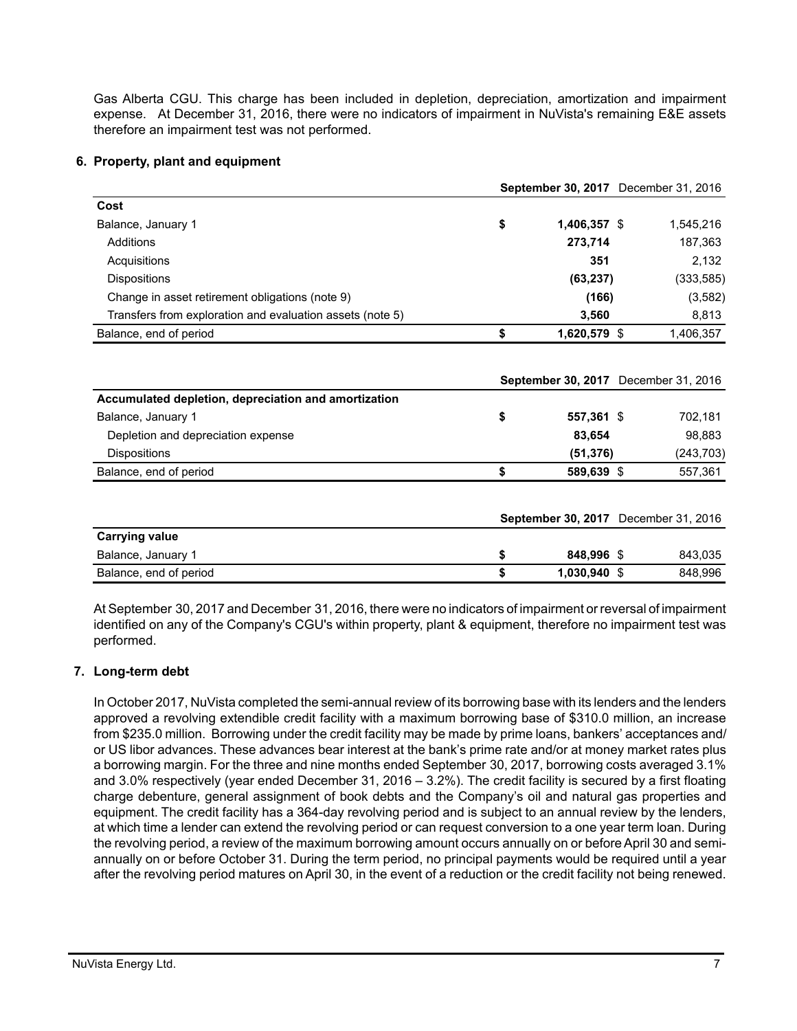Gas Alberta CGU. This charge has been included in depletion, depreciation, amortization and impairment expense. At December 31, 2016, there were no indicators of impairment in NuVista's remaining E&E assets therefore an impairment test was not performed.

### **6. Property, plant and equipment**

|                                                           | September 30, 2017 December 31, 2016 |              |  |                                      |  |  |
|-----------------------------------------------------------|--------------------------------------|--------------|--|--------------------------------------|--|--|
| Cost                                                      |                                      |              |  |                                      |  |  |
| Balance, January 1                                        | \$                                   | 1,406,357 \$ |  | 1,545,216                            |  |  |
| Additions                                                 |                                      | 273,714      |  | 187,363                              |  |  |
| Acquisitions                                              |                                      | 351          |  | 2,132                                |  |  |
| <b>Dispositions</b>                                       |                                      | (63, 237)    |  | (333, 585)                           |  |  |
| Change in asset retirement obligations (note 9)           |                                      | (166)        |  | (3, 582)                             |  |  |
| Transfers from exploration and evaluation assets (note 5) |                                      | 3,560        |  | 8,813                                |  |  |
| Balance, end of period                                    | \$                                   | 1,620,579 \$ |  | 1,406,357                            |  |  |
| Accumulated depletion, depreciation and amortization      |                                      |              |  | September 30, 2017 December 31, 2016 |  |  |
| Balance, January 1                                        | \$                                   | 557,361 \$   |  | 702,181                              |  |  |
| Depletion and depreciation expense                        |                                      | 83.654       |  | 98,883                               |  |  |
| <b>Dispositions</b>                                       |                                      | (51, 376)    |  | (243, 703)                           |  |  |
| Balance, end of period                                    | \$                                   | 589,639 \$   |  | 557,361                              |  |  |
|                                                           |                                      |              |  | September 30, 2017 December 31, 2016 |  |  |
| <b>Carrying value</b>                                     |                                      |              |  |                                      |  |  |
| Balance, January 1                                        | \$                                   | 848,996 \$   |  | 843,035                              |  |  |
| Balance, end of period                                    | \$                                   | 1,030,940 \$ |  | 848,996                              |  |  |

At September 30, 2017 and December 31, 2016, there were no indicators of impairment or reversal of impairment identified on any of the Company's CGU's within property, plant & equipment, therefore no impairment test was performed.

### **7. Long-term debt**

In October 2017, NuVista completed the semi-annual review of its borrowing base with its lenders and the lenders approved a revolving extendible credit facility with a maximum borrowing base of \$310.0 million, an increase from \$235.0 million. Borrowing under the credit facility may be made by prime loans, bankers' acceptances and/ or US libor advances. These advances bear interest at the bank's prime rate and/or at money market rates plus a borrowing margin. For the three and nine months ended September 30, 2017, borrowing costs averaged 3.1% and 3.0% respectively (year ended December 31, 2016 – 3.2%). The credit facility is secured by a first floating charge debenture, general assignment of book debts and the Company's oil and natural gas properties and equipment. The credit facility has a 364-day revolving period and is subject to an annual review by the lenders, at which time a lender can extend the revolving period or can request conversion to a one year term loan. During the revolving period, a review of the maximum borrowing amount occurs annually on or before April 30 and semiannually on or before October 31. During the term period, no principal payments would be required until a year after the revolving period matures on April 30, in the event of a reduction or the credit facility not being renewed.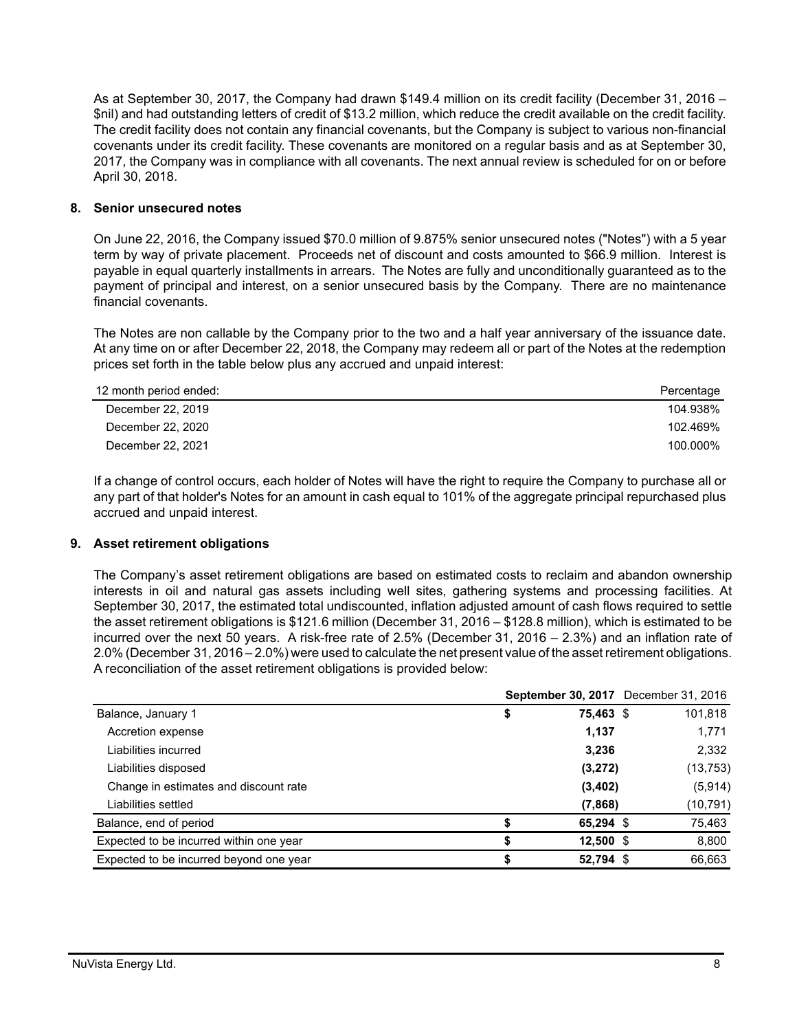As at September 30, 2017, the Company had drawn \$149.4 million on its credit facility (December 31, 2016 – \$nil) and had outstanding letters of credit of \$13.2 million, which reduce the credit available on the credit facility. The credit facility does not contain any financial covenants, but the Company is subject to various non-financial covenants under its credit facility. These covenants are monitored on a regular basis and as at September 30, 2017, the Company was in compliance with all covenants. The next annual review is scheduled for on or before April 30, 2018.

### **8. Senior unsecured notes**

On June 22, 2016, the Company issued \$70.0 million of 9.875% senior unsecured notes ("Notes") with a 5 year term by way of private placement. Proceeds net of discount and costs amounted to \$66.9 million. Interest is payable in equal quarterly installments in arrears. The Notes are fully and unconditionally guaranteed as to the payment of principal and interest, on a senior unsecured basis by the Company. There are no maintenance financial covenants.

The Notes are non callable by the Company prior to the two and a half year anniversary of the issuance date. At any time on or after December 22, 2018, the Company may redeem all or part of the Notes at the redemption prices set forth in the table below plus any accrued and unpaid interest:

| 12 month period ended: | Percentage |
|------------------------|------------|
| December 22, 2019      | 104.938%   |
| December 22, 2020      | 102.469%   |
| December 22, 2021      | 100.000%   |

If a change of control occurs, each holder of Notes will have the right to require the Company to purchase all or any part of that holder's Notes for an amount in cash equal to 101% of the aggregate principal repurchased plus accrued and unpaid interest.

### **9. Asset retirement obligations**

The Company's asset retirement obligations are based on estimated costs to reclaim and abandon ownership interests in oil and natural gas assets including well sites, gathering systems and processing facilities. At September 30, 2017, the estimated total undiscounted, inflation adjusted amount of cash flows required to settle the asset retirement obligations is \$121.6 million (December 31, 2016 – \$128.8 million), which is estimated to be incurred over the next 50 years. A risk-free rate of 2.5% (December 31, 2016 – 2.3%) and an inflation rate of 2.0% (December 31, 2016 – 2.0%) were used to calculate the net present value of the asset retirement obligations. A reconciliation of the asset retirement obligations is provided below:

|                                         | <b>September 30, 2017</b> December 31, 2016 |           |
|-----------------------------------------|---------------------------------------------|-----------|
| Balance, January 1                      | \$<br>75,463 \$                             | 101,818   |
| Accretion expense                       | 1,137                                       | 1,771     |
| Liabilities incurred                    | 3,236                                       | 2,332     |
| Liabilities disposed                    | (3,272)                                     | (13, 753) |
| Change in estimates and discount rate   | (3,402)                                     | (5,914)   |
| Liabilities settled                     | (7,868)                                     | (10, 791) |
| Balance, end of period                  | 65,294 \$                                   | 75,463    |
| Expected to be incurred within one year | $12,500$ \$                                 | 8,800     |
| Expected to be incurred beyond one year | 52,794 \$                                   | 66.663    |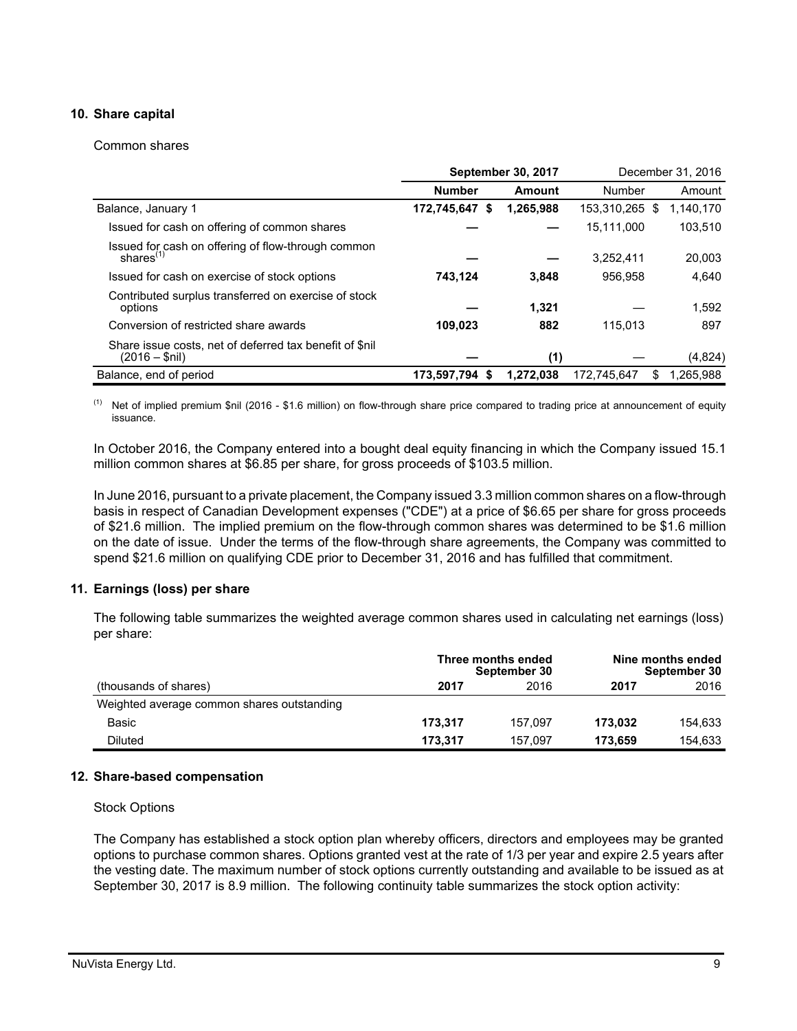## **10. Share capital**

#### Common shares

|                                                                            | <b>September 30, 2017</b> |           |                | December 31, 2016 |           |
|----------------------------------------------------------------------------|---------------------------|-----------|----------------|-------------------|-----------|
|                                                                            | <b>Number</b>             | Amount    | Number         |                   | Amount    |
| Balance, January 1                                                         | 172,745,647<br>- \$       | 1,265,988 | 153,310,265 \$ |                   | 1,140,170 |
| Issued for cash on offering of common shares                               |                           |           | 15,111,000     |                   | 103,510   |
| Issued for cash on offering of flow-through common<br>shares $(1)$         |                           |           | 3,252,411      |                   | 20,003    |
| Issued for cash on exercise of stock options                               | 743,124                   | 3.848     | 956.958        |                   | 4,640     |
| Contributed surplus transferred on exercise of stock<br>options            |                           | 1.321     |                |                   | 1.592     |
| Conversion of restricted share awards                                      | 109,023                   | 882       | 115,013        |                   | 897       |
| Share issue costs, net of deferred tax benefit of \$nil<br>$(2016 - $nil)$ |                           | (1)       |                |                   | (4,824)   |
| Balance, end of period                                                     | 173,597,794 \$            | 1.272.038 | 172.745.647    | S                 | 1.265.988 |

(1) Net of implied premium \$nil (2016 - \$1.6 million) on flow-through share price compared to trading price at announcement of equity issuance.

In October 2016, the Company entered into a bought deal equity financing in which the Company issued 15.1 million common shares at \$6.85 per share, for gross proceeds of \$103.5 million.

In June 2016, pursuant to a private placement, the Company issued 3.3 million common shares on a flow-through basis in respect of Canadian Development expenses ("CDE") at a price of \$6.65 per share for gross proceeds of \$21.6 million. The implied premium on the flow-through common shares was determined to be \$1.6 million on the date of issue. Under the terms of the flow-through share agreements, the Company was committed to spend \$21.6 million on qualifying CDE prior to December 31, 2016 and has fulfilled that commitment.

### **11. Earnings (loss) per share**

The following table summarizes the weighted average common shares used in calculating net earnings (loss) per share:

|                                            |         | Three months ended<br>September 30 |         | Nine months ended<br>September 30 |
|--------------------------------------------|---------|------------------------------------|---------|-----------------------------------|
| (thousands of shares)                      | 2017    | 2016                               | 2017    | 2016                              |
| Weighted average common shares outstanding |         |                                    |         |                                   |
| Basic                                      | 173.317 | 157.097                            | 173.032 | 154.633                           |
| Diluted                                    | 173.317 | 157.097                            | 173.659 | 154.633                           |

#### **12. Share-based compensation**

#### Stock Options

The Company has established a stock option plan whereby officers, directors and employees may be granted options to purchase common shares. Options granted vest at the rate of 1/3 per year and expire 2.5 years after the vesting date. The maximum number of stock options currently outstanding and available to be issued as at September 30, 2017 is 8.9 million. The following continuity table summarizes the stock option activity: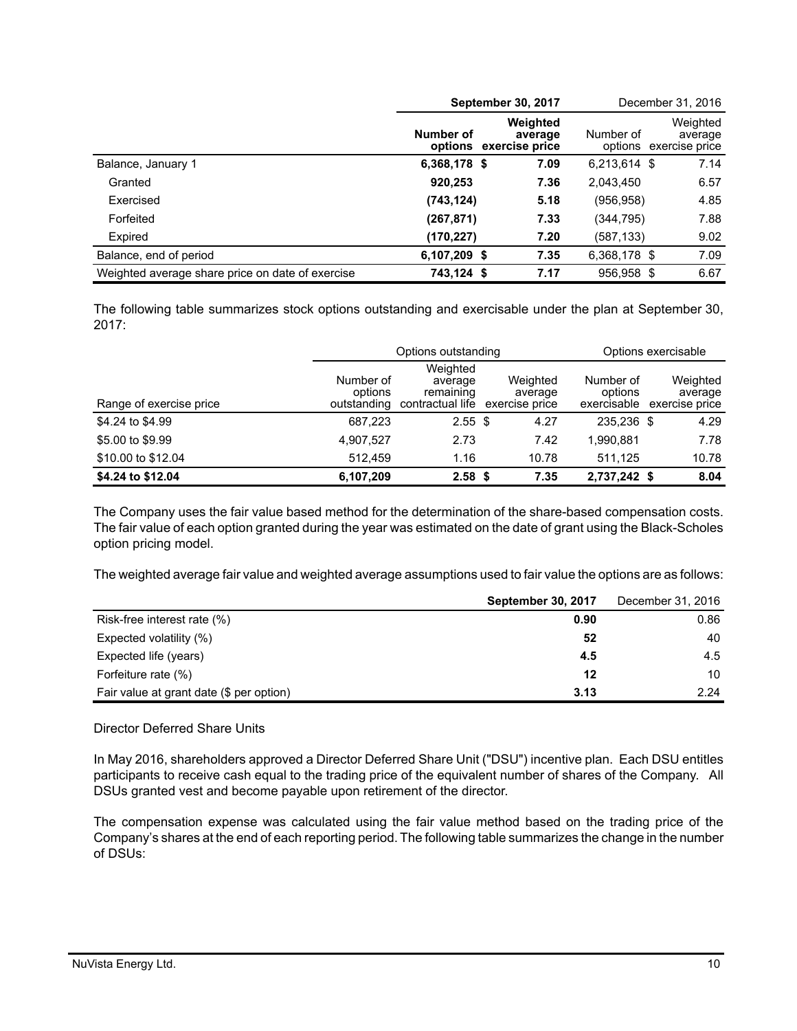|                                                  |                                     | September 30, 2017  |              | December 31, 2016                             |
|--------------------------------------------------|-------------------------------------|---------------------|--------------|-----------------------------------------------|
|                                                  | Number of<br>options exercise price | Weighted<br>average | Number of    | Weighted<br>average<br>options exercise price |
| Balance, January 1                               | 6,368,178 \$                        | 7.09                | 6,213,614 \$ | 7.14                                          |
| Granted                                          | 920,253                             | 7.36                | 2,043,450    | 6.57                                          |
| Exercised                                        | (743, 124)                          | 5.18                | (956,958)    | 4.85                                          |
| Forfeited                                        | (267, 871)                          | 7.33                | (344,795)    | 7.88                                          |
| Expired                                          | (170,227)                           | 7.20                | (587,133)    | 9.02                                          |
| Balance, end of period                           | 6,107,209 \$                        | 7.35                | 6,368,178 \$ | 7.09                                          |
| Weighted average share price on date of exercise | 743.124 \$                          | 7.17                | 956.958 \$   | 6.67                                          |

The following table summarizes stock options outstanding and exercisable under the plan at September 30, 2017:

|                         |                                     | Options outstanding                                  |                                       |                                     | Options exercisable |                                       |
|-------------------------|-------------------------------------|------------------------------------------------------|---------------------------------------|-------------------------------------|---------------------|---------------------------------------|
| Range of exercise price | Number of<br>options<br>outstanding | Weighted<br>average<br>remaining<br>contractual life | Weighted<br>average<br>exercise price | Number of<br>options<br>exercisable |                     | Weighted<br>average<br>exercise price |
| \$4.24 to \$4.99        | 687,223                             | $2.55$ \$                                            | 4.27                                  | 235.236 \$                          |                     | 4.29                                  |
| \$5.00 to \$9.99        | 4,907,527                           | 2.73                                                 | 7.42                                  | 1,990,881                           |                     | 7.78                                  |
| \$10.00 to \$12.04      | 512.459                             | 1.16                                                 | 10.78                                 | 511.125                             |                     | 10.78                                 |
| \$4.24 to \$12.04       | 6,107,209                           | 2.58 <sup>5</sup>                                    | 7.35                                  | 2,737,242 \$                        |                     | 8.04                                  |

The Company uses the fair value based method for the determination of the share-based compensation costs. The fair value of each option granted during the year was estimated on the date of grant using the Black-Scholes option pricing model.

The weighted average fair value and weighted average assumptions used to fair value the options are as follows:

|                                          | <b>September 30, 2017</b> | December 31, 2016 |
|------------------------------------------|---------------------------|-------------------|
| Risk-free interest rate (%)              | 0.90                      | 0.86              |
| Expected volatility (%)                  | 52                        | 40                |
| Expected life (years)                    | 4.5                       | 4.5               |
| Forfeiture rate (%)                      | 12                        | 10                |
| Fair value at grant date (\$ per option) | 3.13                      | 2.24              |

### Director Deferred Share Units

In May 2016, shareholders approved a Director Deferred Share Unit ("DSU") incentive plan. Each DSU entitles participants to receive cash equal to the trading price of the equivalent number of shares of the Company. All DSUs granted vest and become payable upon retirement of the director.

The compensation expense was calculated using the fair value method based on the trading price of the Company's shares at the end of each reporting period. The following table summarizes the change in the number of DSUs: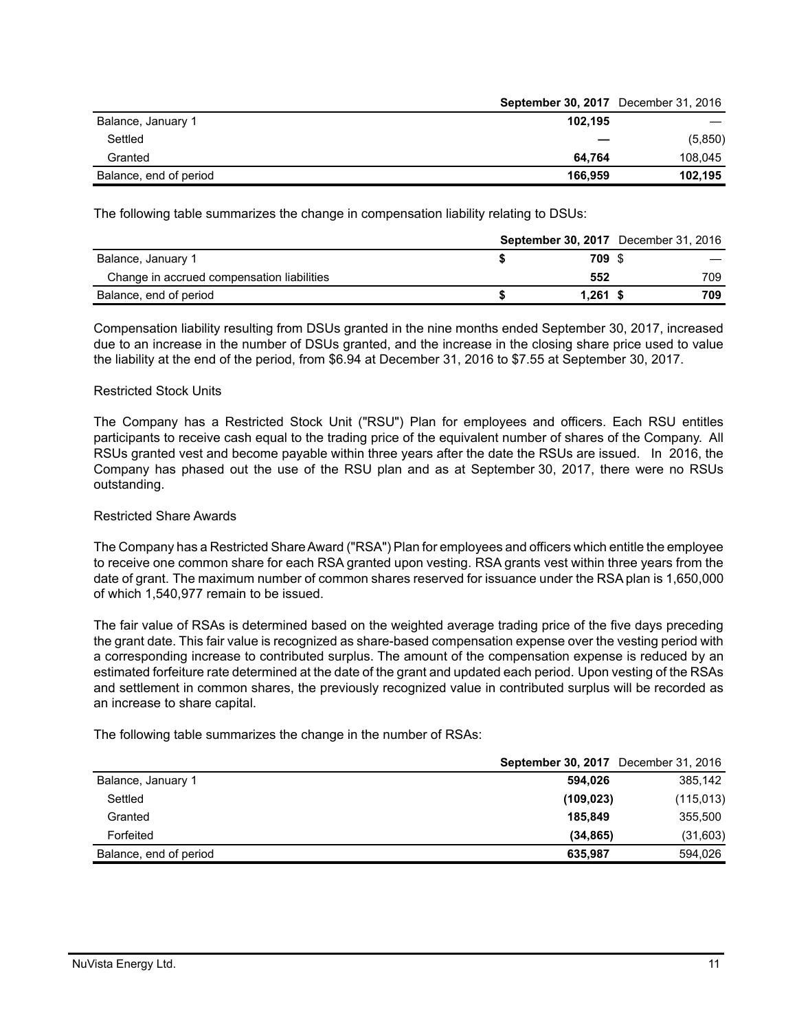|                        | <b>September 30, 2017</b> December 31, 2016 |         |
|------------------------|---------------------------------------------|---------|
| Balance, January 1     | 102.195                                     |         |
| Settled                |                                             | (5,850) |
| Granted                | 64.764                                      | 108.045 |
| Balance, end of period | 166.959                                     | 102,195 |

The following table summarizes the change in compensation liability relating to DSUs:

|                                            |            | <b>September 30, 2017</b> December 31, 2016 |  |
|--------------------------------------------|------------|---------------------------------------------|--|
| Balance, January 1                         | 709 S      |                                             |  |
| Change in accrued compensation liabilities | 552        | 709                                         |  |
| Balance, end of period                     | $1.261$ \$ | 709                                         |  |

Compensation liability resulting from DSUs granted in the nine months ended September 30, 2017, increased due to an increase in the number of DSUs granted, and the increase in the closing share price used to value the liability at the end of the period, from \$6.94 at December 31, 2016 to \$7.55 at September 30, 2017.

#### Restricted Stock Units

The Company has a Restricted Stock Unit ("RSU") Plan for employees and officers. Each RSU entitles participants to receive cash equal to the trading price of the equivalent number of shares of the Company. All RSUs granted vest and become payable within three years after the date the RSUs are issued. In 2016, the Company has phased out the use of the RSU plan and as at September 30, 2017, there were no RSUs outstanding.

#### Restricted Share Awards

The Company has a Restricted Share Award ("RSA") Plan for employees and officers which entitle the employee to receive one common share for each RSA granted upon vesting. RSA grants vest within three years from the date of grant. The maximum number of common shares reserved for issuance under the RSA plan is 1,650,000 of which 1,540,977 remain to be issued.

The fair value of RSAs is determined based on the weighted average trading price of the five days preceding the grant date. This fair value is recognized as share-based compensation expense over the vesting period with a corresponding increase to contributed surplus. The amount of the compensation expense is reduced by an estimated forfeiture rate determined at the date of the grant and updated each period. Upon vesting of the RSAs and settlement in common shares, the previously recognized value in contributed surplus will be recorded as an increase to share capital.

The following table summarizes the change in the number of RSAs:

|                        | <b>September 30, 2017</b> December 31, 2016 |            |
|------------------------|---------------------------------------------|------------|
| Balance, January 1     | 594.026                                     | 385,142    |
| Settled                | (109, 023)                                  | (115, 013) |
| Granted                | 185.849                                     | 355,500    |
| Forfeited              | (34.865)                                    | (31,603)   |
| Balance, end of period | 635.987                                     | 594.026    |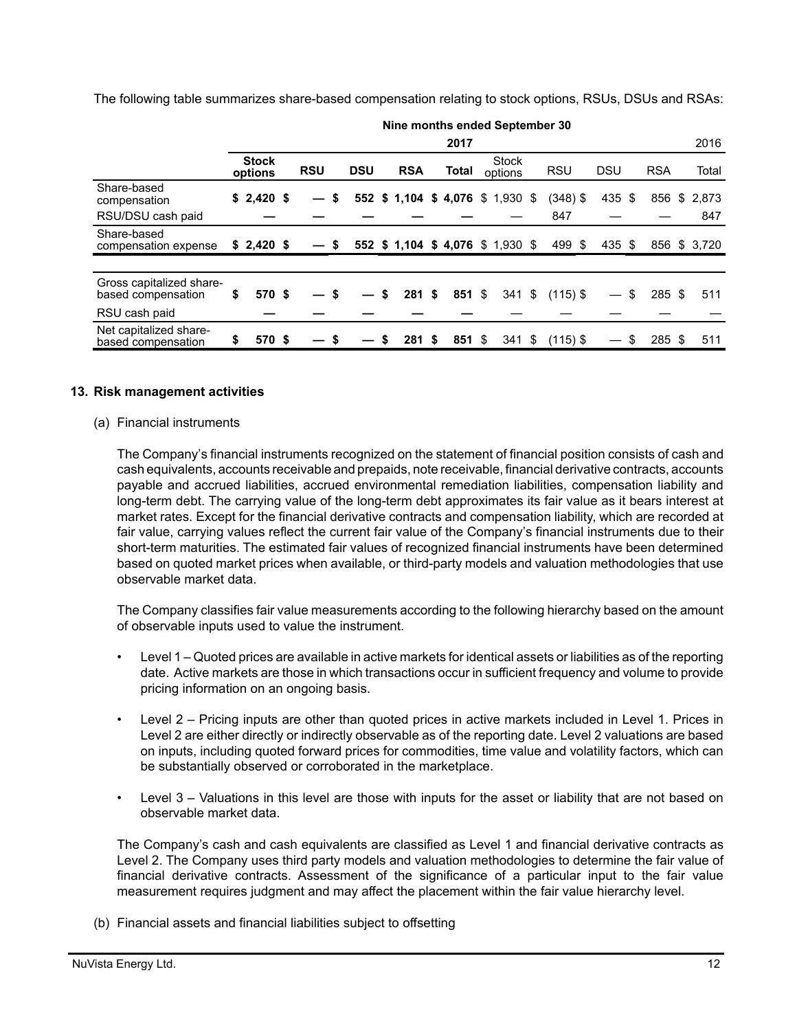The following table summarizes share-based compensation relating to stock options, RSUs, DSUs and RSAs:

|                                                | Nine months ended September 30 |                         |  |            |            |    |                                   |    |          |                         |      |            |            |              |              |
|------------------------------------------------|--------------------------------|-------------------------|--|------------|------------|----|-----------------------------------|----|----------|-------------------------|------|------------|------------|--------------|--------------|
|                                                | 2016<br>2017                   |                         |  |            |            |    |                                   |    |          |                         |      |            |            |              |              |
|                                                |                                | <b>Stock</b><br>options |  | <b>RSU</b> | <b>DSU</b> |    | <b>RSA</b>                        |    | Total    | <b>Stock</b><br>options |      | <b>RSU</b> | <b>DSU</b> | <b>RSA</b>   | Total        |
| Share-based<br>compensation                    |                                | $$2,420$ \$             |  | \$         |            |    | 552 \$1,104 \$4,076 \$1,930 \$    |    |          |                         |      | $(348)$ \$ | 435 \$     | 856          | \$2,873      |
| RSU/DSU cash paid                              |                                |                         |  |            |            |    |                                   |    |          |                         |      | 847        |            |              | 847          |
| Share-based<br>compensation expense            |                                | $$2,420$ \$             |  | S          |            |    | 552 \$ 1,104 \$ 4,076 \$ 1,930 \$ |    |          |                         |      | 499 \$     | 435 \$     |              | 856 \$ 3.720 |
|                                                |                                |                         |  |            |            |    |                                   |    |          |                         |      |            |            |              |              |
| Gross capitalized share-<br>based compensation | \$                             | 570 \$                  |  |            |            | S  | 281                               | \$ | $851$ \$ | $341$ \$                |      | $(115)$ \$ |            | \$<br>285 \$ | 511          |
| RSU cash paid                                  |                                |                         |  |            |            |    |                                   |    |          |                         |      |            |            |              |              |
| Net capitalized share-<br>based compensation   | S                              | 570 \$                  |  |            |            | \$ | 281                               | S  | 851 \$   | 341                     | - \$ | $(115)$ \$ |            | 285 \$       | 511          |

#### **13. Risk management activities**

#### (a) Financial instruments

The Company's financial instruments recognized on the statement of financial position consists of cash and cash equivalents, accounts receivable and prepaids, note receivable, financial derivative contracts, accounts payable and accrued liabilities, accrued environmental remediation liabilities, compensation liability and long-term debt. The carrying value of the long-term debt approximates its fair value as it bears interest at market rates. Except for the financial derivative contracts and compensation liability, which are recorded at fair value, carrying values reflect the current fair value of the Company's financial instruments due to their short-term maturities. The estimated fair values of recognized financial instruments have been determined based on quoted market prices when available, or third-party models and valuation methodologies that use observable market data.

The Company classifies fair value measurements according to the following hierarchy based on the amount of observable inputs used to value the instrument.

- Level 1 Quoted prices are available in active markets for identical assets or liabilities as of the reporting date. Active markets are those in which transactions occur in sufficient frequency and volume to provide pricing information on an ongoing basis.
- Level 2 Pricing inputs are other than quoted prices in active markets included in Level 1. Prices in Level 2 are either directly or indirectly observable as of the reporting date. Level 2 valuations are based on inputs, including quoted forward prices for commodities, time value and volatility factors, which can be substantially observed or corroborated in the marketplace.
- Level 3 Valuations in this level are those with inputs for the asset or liability that are not based on observable market data.

The Company's cash and cash equivalents are classified as Level 1 and financial derivative contracts as Level 2. The Company uses third party models and valuation methodologies to determine the fair value of financial derivative contracts. Assessment of the significance of a particular input to the fair value measurement requires judgment and may affect the placement within the fair value hierarchy level.

(b) Financial assets and financial liabilities subject to offsetting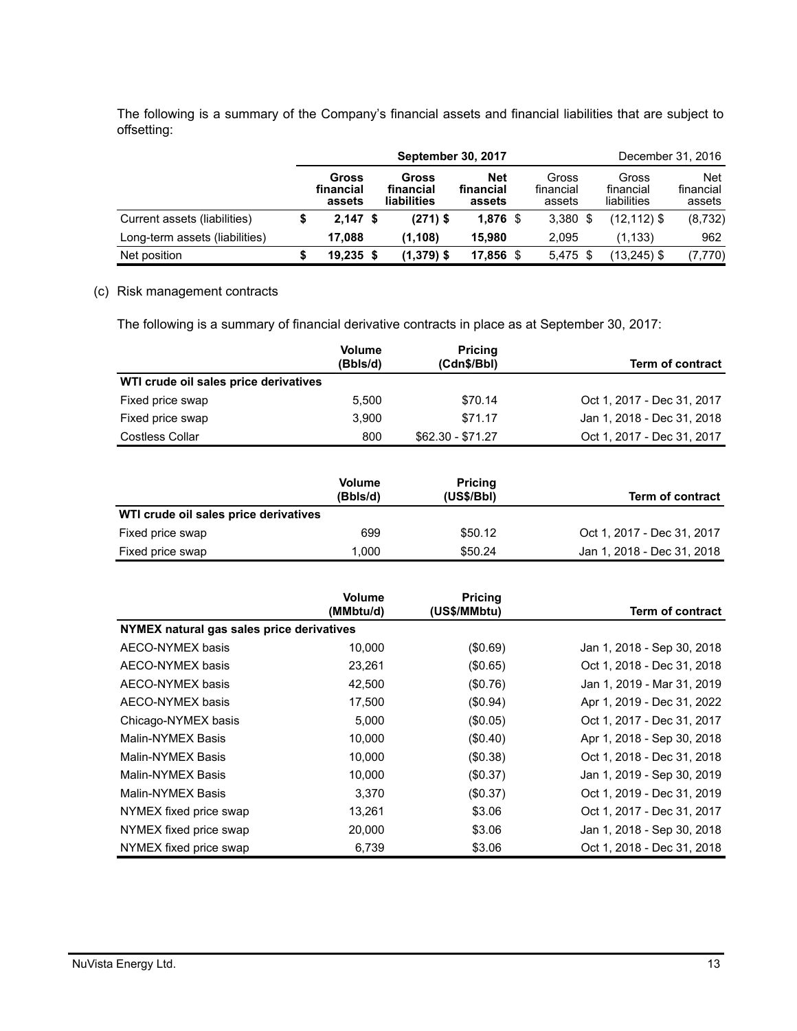The following is a summary of the Company's financial assets and financial liabilities that are subject to offsetting:

|                                | <b>September 30, 2017</b> |                              |  |                                   |                                   |  |                              | December 31, 2016                 |                                   |  |
|--------------------------------|---------------------------|------------------------------|--|-----------------------------------|-----------------------------------|--|------------------------------|-----------------------------------|-----------------------------------|--|
|                                |                           | Gross<br>financial<br>assets |  | Gross<br>financial<br>liabilities | <b>Net</b><br>financial<br>assets |  | Gross<br>financial<br>assets | Gross<br>financial<br>liabilities | <b>Net</b><br>financial<br>assets |  |
| Current assets (liabilities)   |                           | $2.147$ \$                   |  | $(271)$ \$                        | $1,876$ \$                        |  | $3,380$ \$                   | $(12, 112)$ \$                    | (8, 732)                          |  |
| Long-term assets (liabilities) |                           | 17.088                       |  | (1.108)                           | 15.980                            |  | 2.095                        | (1.133)                           | 962                               |  |
| Net position                   |                           | $19,235$ \$                  |  | $(1,379)$ \$                      | 17,856                            |  | $5,475$ \$                   | $(13,245)$ \$                     | (7, 770)                          |  |

#### (c) Risk management contracts

The following is a summary of financial derivative contracts in place as at September 30, 2017:

|                                       | <b>Volume</b> | <b>Pricing</b>    |                            |
|---------------------------------------|---------------|-------------------|----------------------------|
|                                       | (Bbls/d)      | (Cdn\$/Bbl)       | <b>Term of contract</b>    |
| WTI crude oil sales price derivatives |               |                   |                            |
| Fixed price swap                      | 5.500         | \$70.14           | Oct 1, 2017 - Dec 31, 2017 |
| Fixed price swap                      | 3.900         | \$71.17           | Jan 1, 2018 - Dec 31, 2018 |
| <b>Costless Collar</b>                | 800           | $$62.30 - $71.27$ | Oct 1, 2017 - Dec 31, 2017 |

|                                       | <b>Volume</b><br>(Bbls/d) | <b>Pricing</b><br>(US\$/Bbl) | <b>Term of contract</b>    |
|---------------------------------------|---------------------------|------------------------------|----------------------------|
| WTI crude oil sales price derivatives |                           |                              |                            |
| Fixed price swap                      | 699                       | \$50.12                      | Oct 1, 2017 - Dec 31, 2017 |
| Fixed price swap                      | 1.000                     | \$50.24                      | Jan 1, 2018 - Dec 31, 2018 |

|                                           | <b>Volume</b><br>(MMbtu/d) | <b>Pricing</b><br>(US\$/MMbtu) | Term of contract           |
|-------------------------------------------|----------------------------|--------------------------------|----------------------------|
| NYMEX natural gas sales price derivatives |                            |                                |                            |
| AECO-NYMEX basis                          | 10,000                     | (\$0.69)                       | Jan 1, 2018 - Sep 30, 2018 |
| AECO-NYMEX basis                          | 23,261                     | (\$0.65)                       | Oct 1, 2018 - Dec 31, 2018 |
| AECO-NYMEX basis                          | 42,500                     | (\$0.76)                       | Jan 1, 2019 - Mar 31, 2019 |
| AECO-NYMEX basis                          | 17,500                     | (\$0.94)                       | Apr 1, 2019 - Dec 31, 2022 |
| Chicago-NYMEX basis                       | 5,000                      | (\$0.05)                       | Oct 1, 2017 - Dec 31, 2017 |
| Malin-NYMEX Basis                         | 10,000                     | $(\$0.40)$                     | Apr 1, 2018 - Sep 30, 2018 |
| Malin-NYMEX Basis                         | 10,000                     | (\$0.38)                       | Oct 1, 2018 - Dec 31, 2018 |
| Malin-NYMEX Basis                         | 10,000                     | (\$0.37)                       | Jan 1, 2019 - Sep 30, 2019 |
| Malin-NYMEX Basis                         | 3,370                      | (\$0.37)                       | Oct 1, 2019 - Dec 31, 2019 |
| NYMEX fixed price swap                    | 13,261                     | \$3.06                         | Oct 1, 2017 - Dec 31, 2017 |
| NYMEX fixed price swap                    | 20,000                     | \$3.06                         | Jan 1, 2018 - Sep 30, 2018 |
| NYMEX fixed price swap                    | 6,739                      | \$3.06                         | Oct 1, 2018 - Dec 31, 2018 |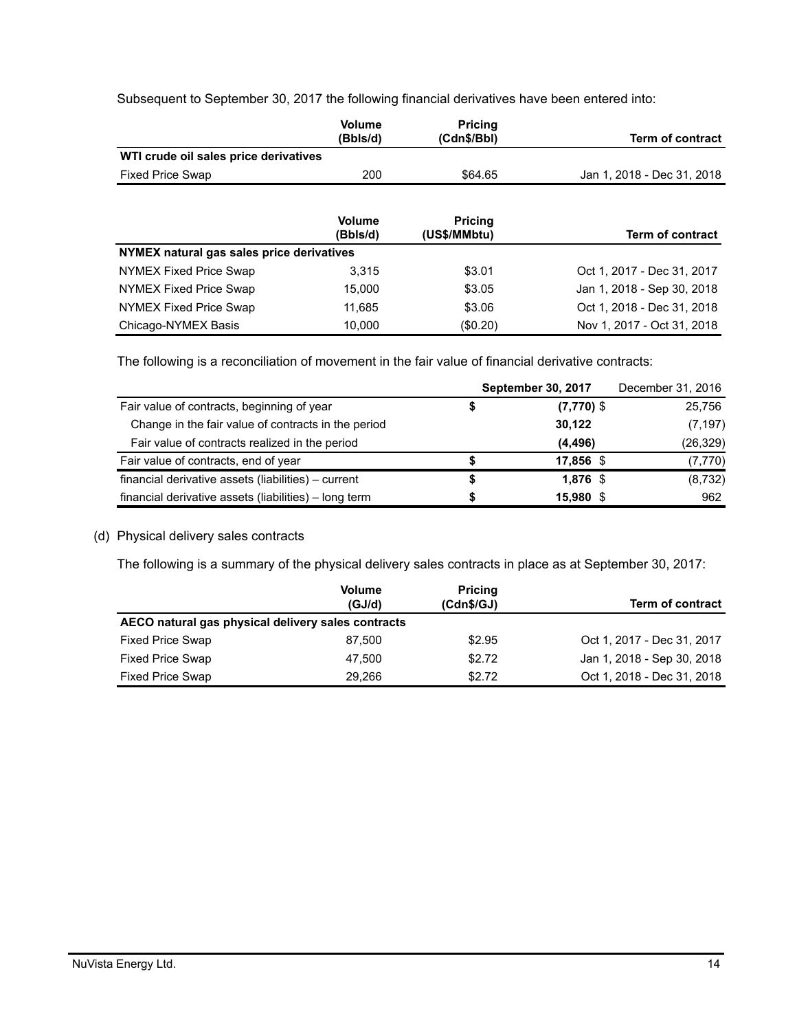Subsequent to September 30, 2017 the following financial derivatives have been entered into:

|                                           | <b>Volume</b><br>(Bbls/d) | <b>Pricina</b><br>(Cdn\$/Bbl)  | <b>Term of contract</b>    |
|-------------------------------------------|---------------------------|--------------------------------|----------------------------|
| WTI crude oil sales price derivatives     |                           |                                |                            |
| <b>Fixed Price Swap</b>                   | 200                       | \$64.65                        | Jan 1, 2018 - Dec 31, 2018 |
|                                           | <b>Volume</b><br>(Bbls/d) | <b>Pricing</b><br>(US\$/MMbtu) | <b>Term of contract</b>    |
| NYMEX natural gas sales price derivatives |                           |                                |                            |
| NYMEX Fixed Price Swap                    | 3.315                     | \$3.01                         | Oct 1, 2017 - Dec 31, 2017 |
| NYMEX Fixed Price Swap                    | 15.000                    | \$3.05                         | Jan 1, 2018 - Sep 30, 2018 |
| NYMEX Fixed Price Swap                    | 11,685                    | \$3.06                         | Oct 1, 2018 - Dec 31, 2018 |
| Chicago-NYMEX Basis                       | 10.000                    | (\$0.20)                       | Nov 1, 2017 - Oct 31, 2018 |

The following is a reconciliation of movement in the fair value of financial derivative contracts:

|                                                       | <b>September 30, 2017</b> | December 31, 2016 |
|-------------------------------------------------------|---------------------------|-------------------|
| Fair value of contracts, beginning of year            | $(7,770)$ \$              | 25,756            |
| Change in the fair value of contracts in the period   | 30,122                    | (7, 197)          |
| Fair value of contracts realized in the period        | (4, 496)                  | (26, 329)         |
| Fair value of contracts, end of year                  | 17,856 \$                 | (7, 770)          |
| financial derivative assets (liabilities) – current   | $1,876$ \$                | (8,732)           |
| financial derivative assets (liabilities) - long term | 15,980 \$                 | 962               |

### (d) Physical delivery sales contracts

The following is a summary of the physical delivery sales contracts in place as at September 30, 2017:

|                                                    | <b>Volume</b><br>(GJ/d) | <b>Pricing</b><br>(Cdn\$/GJ) | <b>Term of contract</b>    |  |  |  |
|----------------------------------------------------|-------------------------|------------------------------|----------------------------|--|--|--|
| AECO natural gas physical delivery sales contracts |                         |                              |                            |  |  |  |
| <b>Fixed Price Swap</b>                            | 87.500                  | \$2.95                       | Oct 1, 2017 - Dec 31, 2017 |  |  |  |
| <b>Fixed Price Swap</b>                            | 47.500                  | \$2.72                       | Jan 1, 2018 - Sep 30, 2018 |  |  |  |
| <b>Fixed Price Swap</b>                            | 29.266                  | \$2.72                       | Oct 1, 2018 - Dec 31, 2018 |  |  |  |